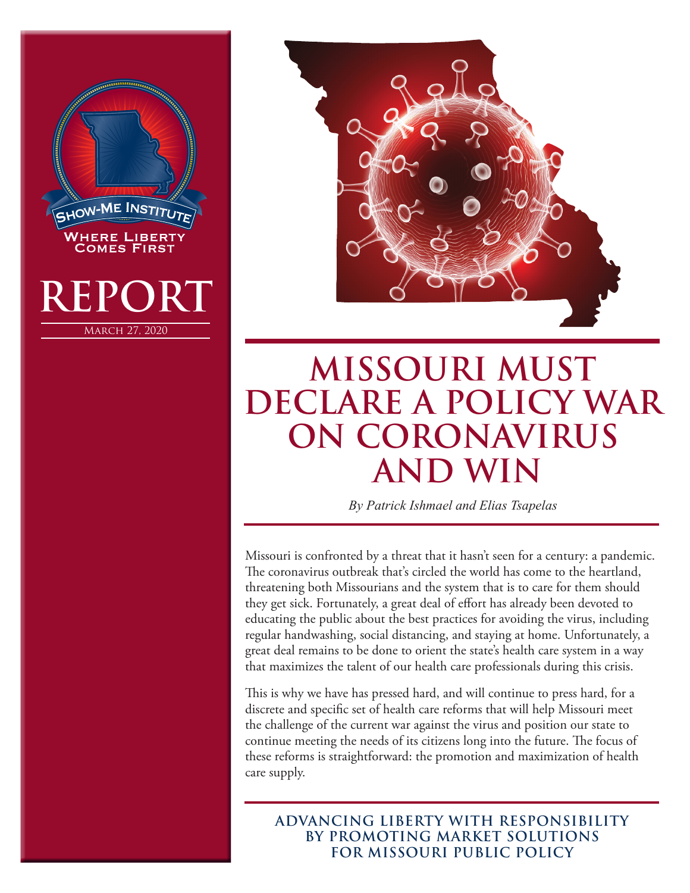



## **MISSOURI MUST DECLARE A POLICY WAR ON CORONAVIRUS AND WIN**

*By Patrick Ishmael and Elias Tsapelas*

Missouri is confronted by a threat that it hasn't seen for a century: a pandemic. The coronavirus outbreak that's circled the world has come to the heartland, threatening both Missourians and the system that is to care for them should they get sick. Fortunately, a great deal of effort has already been devoted to educating the public about the best practices for avoiding the virus, including regular handwashing, social distancing, and staying at home. Unfortunately, a great deal remains to be done to orient the state's health care system in a way that maximizes the talent of our health care professionals during this crisis.

This is why we have has pressed hard, and will continue to press hard, for a discrete and specific set of health care reforms that will help Missouri meet the challenge of the current war against the virus and position our state to continue meeting the needs of its citizens long into the future. The focus of these reforms is straightforward: the promotion and maximization of health care supply.

**ADVANCING LIBERTY WITH RESPONSIBILITY BY PROMOTING MARKET SOLUTIONS FOR MISSOURI PUBLIC POLICY**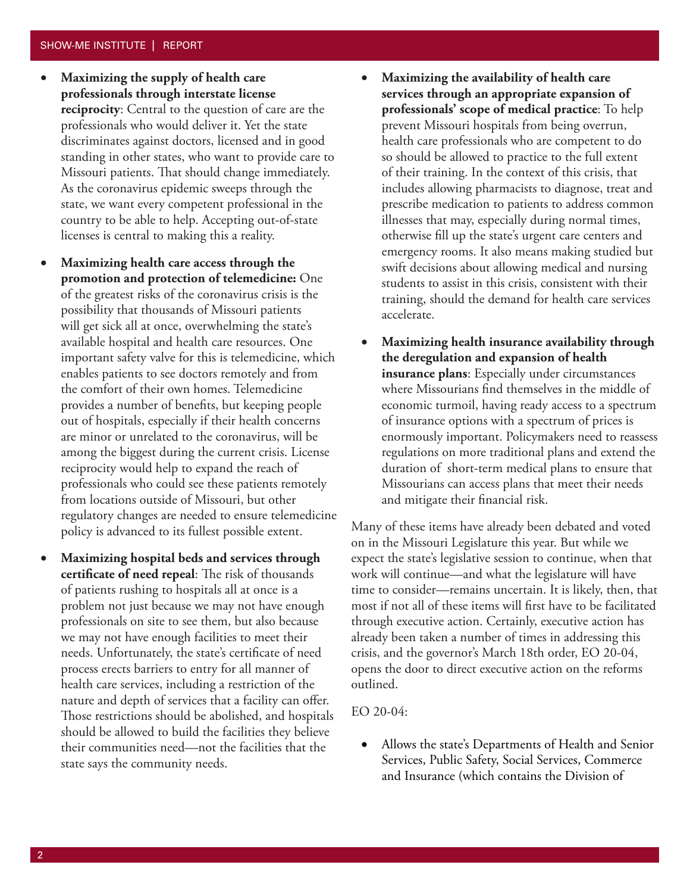- • **Maximizing the supply of health care professionals through interstate license reciprocity**: Central to the question of care are the professionals who would deliver it. Yet the state discriminates against doctors, licensed and in good standing in other states, who want to provide care to Missouri patients. That should change immediately. As the coronavirus epidemic sweeps through the state, we want every competent professional in the country to be able to help. Accepting out-of-state licenses is central to making this a reality.
- **Maximizing health care access through the promotion and protection of telemedicine:** One of the greatest risks of the coronavirus crisis is the possibility that thousands of Missouri patients will get sick all at once, overwhelming the state's available hospital and health care resources. One important safety valve for this is telemedicine, which enables patients to see doctors remotely and from the comfort of their own homes. Telemedicine provides a number of benefits, but keeping people out of hospitals, especially if their health concerns are minor or unrelated to the coronavirus, will be among the biggest during the current crisis. License reciprocity would help to expand the reach of professionals who could see these patients remotely from locations outside of Missouri, but other regulatory changes are needed to ensure telemedicine policy is advanced to its fullest possible extent.
- **Maximizing hospital beds and services through certificate of need repeal**: The risk of thousands of patients rushing to hospitals all at once is a problem not just because we may not have enough professionals on site to see them, but also because we may not have enough facilities to meet their needs. Unfortunately, the state's certificate of need process erects barriers to entry for all manner of health care services, including a restriction of the nature and depth of services that a facility can offer. Those restrictions should be abolished, and hospitals should be allowed to build the facilities they believe their communities need—not the facilities that the state says the community needs.
- • **Maximizing the availability of health care services through an appropriate expansion of professionals' scope of medical practice**: To help prevent Missouri hospitals from being overrun, health care professionals who are competent to do so should be allowed to practice to the full extent of their training. In the context of this crisis, that includes allowing pharmacists to diagnose, treat and prescribe medication to patients to address common illnesses that may, especially during normal times, otherwise fill up the state's urgent care centers and emergency rooms. It also means making studied but swift decisions about allowing medical and nursing students to assist in this crisis, consistent with their training, should the demand for health care services accelerate.
- **Maximizing health insurance availability through the deregulation and expansion of health insurance plans**: Especially under circumstances where Missourians find themselves in the middle of economic turmoil, having ready access to a spectrum of insurance options with a spectrum of prices is enormously important. Policymakers need to reassess regulations on more traditional plans and extend the duration of short-term medical plans to ensure that Missourians can access plans that meet their needs and mitigate their financial risk.

Many of these items have already been debated and voted on in the Missouri Legislature this year. But while we expect the state's legislative session to continue, when that work will continue—and what the legislature will have time to consider—remains uncertain. It is likely, then, that most if not all of these items will first have to be facilitated through executive action. Certainly, executive action has already been taken a number of times in addressing this crisis, and the governor's March 18th order, EO 20-04, opens the door to direct executive action on the reforms outlined.

EO 20-04:

• Allows the state's Departments of Health and Senior Services, Public Safety, Social Services, Commerce and Insurance (which contains the Division of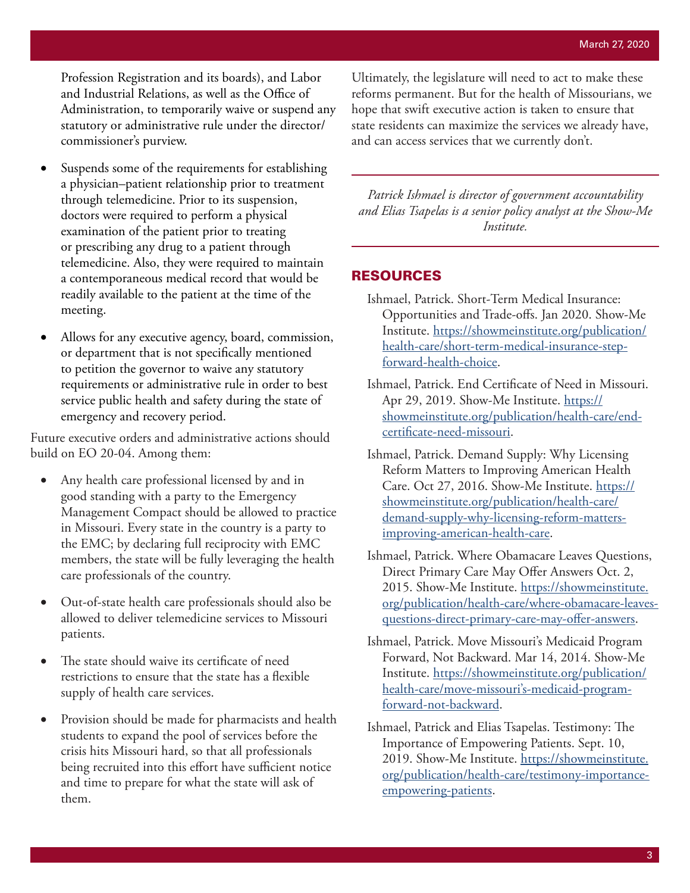Profession Registration and its boards), and Labor and Industrial Relations, as well as the Office of Administration, to temporarily waive or suspend any statutory or administrative rule under the director/ commissioner's purview.

- Suspends some of the requirements for establishing a physician–patient relationship prior to treatment through telemedicine. Prior to its suspension, doctors were required to perform a physical examination of the patient prior to treating or prescribing any drug to a patient through telemedicine. Also, they were required to maintain a contemporaneous medical record that would be readily available to the patient at the time of the meeting.
- Allows for any executive agency, board, commission, or department that is not specifically mentioned to petition the governor to waive any statutory requirements or administrative rule in order to best service public health and safety during the state of emergency and recovery period.

Future executive orders and administrative actions should build on EO 20-04. Among them:

- Any health care professional licensed by and in good standing with a party to the Emergency Management Compact should be allowed to practice in Missouri. Every state in the country is a party to the EMC; by declaring full reciprocity with EMC members, the state will be fully leveraging the health care professionals of the country.
- Out-of-state health care professionals should also be allowed to deliver telemedicine services to Missouri patients.
- The state should waive its certificate of need restrictions to ensure that the state has a flexible supply of health care services.
- Provision should be made for pharmacists and health students to expand the pool of services before the crisis hits Missouri hard, so that all professionals being recruited into this effort have sufficient notice and time to prepare for what the state will ask of them.

Ultimately, the legislature will need to act to make these reforms permanent. But for the health of Missourians, we hope that swift executive action is taken to ensure that state residents can maximize the services we already have, and can access services that we currently don't.

*Patrick Ishmael is director of government accountability and Elias Tsapelas is a senior policy analyst at the Show-Me Institute.* 

## RESOURCES

- Ishmael, Patrick. Short-Term Medical Insurance: Opportunities and Trade-offs. Jan 2020. Show-Me Institute. https://showmeinstitute.org/publication/ health-care/short-term-medical-insurance-stepforward-health-choice.
- Ishmael, Patrick. End Certificate of Need in Missouri. Apr 29, 2019. Show-Me Institute. https:// showmeinstitute.org/publication/health-care/endcertificate-need-missouri.
- Ishmael, Patrick. Demand Supply: Why Licensing Reform Matters to Improving American Health Care. Oct 27, 2016. Show-Me Institute. https:// showmeinstitute.org/publication/health-care/ demand-supply-why-licensing-reform-mattersimproving-american-health-care.
- Ishmael, Patrick. Where Obamacare Leaves Questions, Direct Primary Care May Offer Answers Oct. 2, 2015. Show-Me Institute. https://showmeinstitute. org/publication/health-care/where-obamacare-leavesquestions-direct-primary-care-may-offer-answers.
- Ishmael, Patrick. Move Missouri's Medicaid Program Forward, Not Backward. Mar 14, 2014. Show-Me Institute. https://showmeinstitute.org/publication/ health-care/move-missouri's-medicaid-programforward-not-backward.
- Ishmael, Patrick and Elias Tsapelas. Testimony: The Importance of Empowering Patients. Sept. 10, 2019. Show-Me Institute. https://showmeinstitute. org/publication/health-care/testimony-importanceempowering-patients.